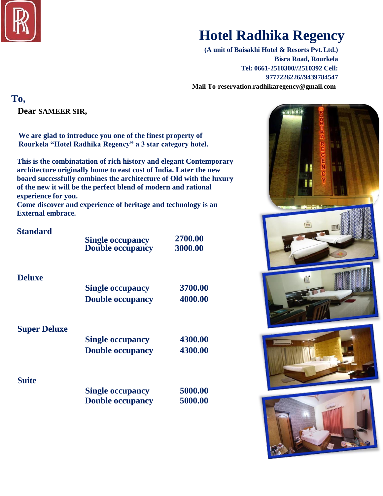

# **Hotel Radhika Regency**

**(A unit of Baisakhi Hotel & Resorts Pvt.Ltd.) Bisra Road, Rourkela Tel: 0661-2510300//2510392 Cell: 9777226226//9439784547 Mail To-reservation.radhikaregency@gmail.com** 

**To,**

**Dear SAMEER SIR,**

**We are glad to introduce you one of the finest property of Rourkela "Hotel Radhika Regency" a 3 star category hotel.**

**This is the combinatation of rich history and elegant Contemporary architecture originally home to east cost of India. Later the new board successfully combines the architecture of Old with the luxury of the new it will be the perfect blend of modern and rational experience for you.**

**Come discover and experience of heritage and technology is an External embrace.**

| <b>Standard</b>     | <b>Single occupancy</b><br><b>Double occupancy</b> | 2700.00<br>3000.00 |
|---------------------|----------------------------------------------------|--------------------|
| <b>Deluxe</b>       | <b>Single occupancy</b><br><b>Double occupancy</b> | 3700.00<br>4000.00 |
| <b>Super Deluxe</b> | <b>Single occupancy</b><br><b>Double occupancy</b> | 4300.00<br>4300.00 |
| <b>Suite</b>        | <b>Single occupancy</b><br><b>Double occupancy</b> | 5000.00<br>5000.00 |

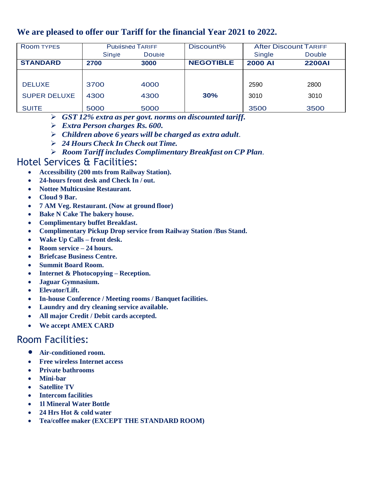### **We are pleased to offer our Tariff for the financial Year 2021 to 2022.**

| <b>Room TYPES</b>   | <b>Published TARIFF</b> |        | Discount%        | <b>After Discount TARIFF</b> |               |
|---------------------|-------------------------|--------|------------------|------------------------------|---------------|
|                     | Single                  | Double |                  | Single                       | <b>Double</b> |
| <b>STANDARD</b>     | 2700                    | 3000   | <b>NEGOTIBLE</b> | <b>2000 AI</b>               | <b>2200AI</b> |
|                     |                         |        |                  |                              |               |
| <b>DELUXE</b>       | 3700                    | 4000   |                  | 2590                         | 2800          |
| <b>SUPER DELUXE</b> | 4300                    | 4300   | 30%              | 3010                         | 3010          |
| <b>SUITE</b>        | 5000                    | 5000   |                  | 3500                         | 3500          |

- *GST 12% extra as per govt. norms on discounted tariff.*
- *Extra Person charges Rs. 600.*
- *Children above 6 years will be charged as extra adult*.
- *24 Hours Check In Check out Time.*
- *Room Tariff includes Complimentary Breakfast on CP Plan.*

### Hotel Services & Facilities:

- **Accessibility (200 mts from Railway Station).**
- **24-hours front desk and Check In / out.**
- **Nottee Multicusine Restaurant.**
- **Cloud 9 Bar.**
- **7 AM Veg. Restaurant. (Now at ground floor)**
- **Bake N Cake The bakery house.**
- **Complimentary buffet Breakfast.**
- **Complimentary Pickup Drop service from Railway Station /Bus Stand.**
- **Wake Up Calls – front desk.**
- **Room service – 24 hours.**
- **Briefcase Business Centre.**
- **Summit Board Room.**
- **Internet & Photocopying – Reception.**
- **Jaguar Gymnasium.**
- **Elevator/Lift.**
- **In-house Conference / Meeting rooms / Banquet facilities.**
- **Laundry and dry cleaning service available.**
- **All major Credit / Debit cards accepted.**
- **We accept AMEX CARD**

## Room Facilities:

- **Air-conditioned room.**
- **Free wireless Internet access**
- **Private bathrooms**
- **Mini-bar**
- **Satellite TV**
- **Intercom facilities**
- **1l Mineral Water Bottle**
- **24 Hrs Hot & cold water**
- **Tea/coffee maker (EXCEPT THE STANDARD ROOM)**